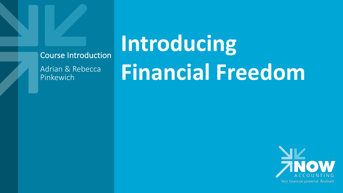## Course Introduction

Adrian & Rebecca Pinkewich

## **Introducing Financial Freedom**

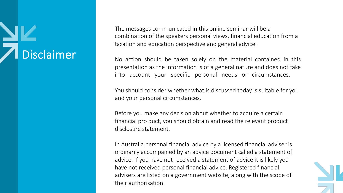## Disclaimer

The messages communicated in this online seminar will be a combination of the speakers personal views, financial education from a taxation and education perspective and general advice.

No action should be taken solely on the material contained in this presentation as the information is of a general nature and does not take into account your specific personal needs or circumstances.

You should consider whether what is discussed today is suitable for you and your personal circumstances.

Before you make any decision about whether to acquire a certain financial pro duct, you should obtain and read the relevant product disclosure statement.

In Australia personal financial advice by a licensed financial adviser is ordinarily accompanied by an advice document called a statement of advice. If you have not received a statement of advice it is likely you have not received personal financial advice. Registered financial advisers are listed on a government website, along with the scope of their authorisation.

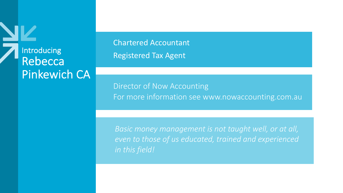

Chartered Accountant Registered Tax Agent

Director of Now Accounting For more information see www.nowaccounting.com.au

*Basic money management is not taught well, or at all, even to those of us educated, trained and experienced in this field!*